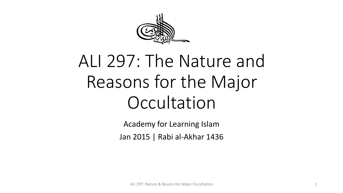

# ALI 297: The Nature and Reasons for the Major **Occultation**

Academy for Learning Islam Jan 2015 | Rabi al-Akhar 1436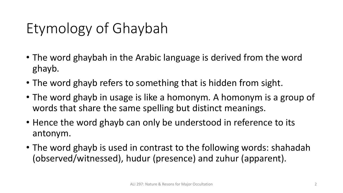# Etymology of Ghaybah

- The word ghaybah in the Arabic language is derived from the word ghayb.
- The word ghayb refers to something that is hidden from sight.
- The word ghayb in usage is like a homonym. A homonym is a group of words that share the same spelling but distinct meanings.
- Hence the word ghayb can only be understood in reference to its antonym.
- The word ghayb is used in contrast to the following words: shahadah (observed/witnessed), hudur (presence) and zuhur (apparent).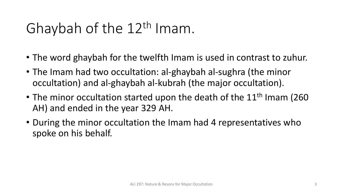# Ghaybah of the 12<sup>th</sup> Imam.

- The word ghaybah for the twelfth Imam is used in contrast to zuhur.
- The Imam had two occultation: al-ghaybah al-sughra (the minor occultation) and al-ghaybah al-kubrah (the major occultation).
- The minor occultation started upon the death of the  $11<sup>th</sup>$  Imam (260 AH) and ended in the year 329 AH.
- During the minor occultation the Imam had 4 representatives who spoke on his behalf.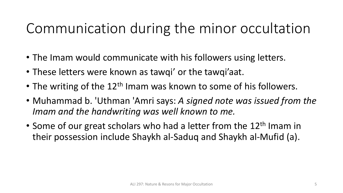#### Communication during the minor occultation

- The Imam would communicate with his followers using letters.
- These letters were known as tawqi' or the tawqi'aat.
- The writing of the  $12<sup>th</sup>$  Imam was known to some of his followers.
- Muhammad b. 'Uthman 'Amri says: *A signed note was issued from the Imam and the handwriting was well known to me.*
- Some of our great scholars who had a letter from the 12<sup>th</sup> Imam in their possession include Shaykh al-Saduq and Shaykh al-Mufid (a).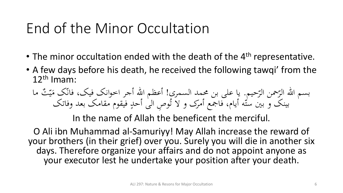#### End of the Minor Occultation

- The minor occultation ended with the death of the 4<sup>th</sup> representative.
- A few days before his death, he received the following tawqi' from the 12th Imam:
	- حیم بسم الله الرّحمن الرّحيم. يا على بن محمد السمری! أعظم الله أجر اخوانک فيک، فانّک مَيّثٌ ما<br>مسمر الله الرّحمن الرّحيم. يا على بن محمد السُّمّي ما اللّه أحد فقره مقاد كريدا وفاتك أعظم الله أجر اخوانک فیک، فانک مَیّتٌ<br>المستمد نفس نفس الله اینک س<br>م  $\mathcal{A}$ بینک و بین ستّه أیام، فاجمع أمرک و لا تُوصِ الیٰ أحدٍ فیقوم مقامک بعد وفاتک  $\overline{a}$

In the name of Allah the beneficent the merciful.

O Ali ibn Muhammad al-Samuriyy! May Allah increase the reward of your brothers (in their grief) over you. Surely you will die in another six days. Therefore organize your affairs and do not appoint anyone as your executor lest he undertake your position after your death.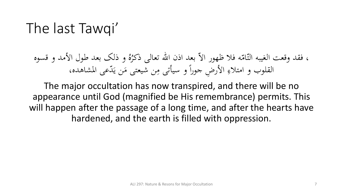#### The last Tawqi'

و ذلک بعد طول األمد و قسوه ُ ه فلا ظهور الاّ بعد اذن الله تعال<sub>ى</sub> ذكرُهُ  $\mathcal{L}$ م<br>، ، فقد وقعت الغيبه التّامّ القلوب و امتلاءِ الأرضِ جوراً و سيأتی مِن شيعتی مَن يَدّعى المشاهده، يا<br>.  $\mathcal{A}$  $\mathbf{A}$  $\frac{1}{2}$ ِ<br>چ

The major occultation has now transpired, and there will be no appearance until God (magnified be His remembrance) permits. This will happen after the passage of a long time, and after the hearts have hardened, and the earth is filled with oppression.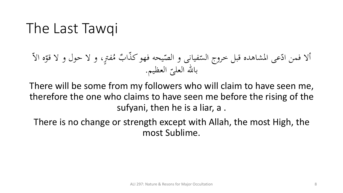#### The Last Tawqi

ّ ه اال ه<br>ر فمترٍ، و لا حول و لا قوّر <u>ر</u>  $\mathcal{A}$ ب م<br>ب م ٌ ذا ّ یحه فهوک مبر<br>و و فیانی و الص  $\overline{a}$ عی املشاهده قبل خروج الس ّ أال فمن اد العظیم  $\overline{\phantom{a}}$ بالله العليّ العظيم.

There will be some from my followers who will claim to have seen me, therefore the one who claims to have seen me before the rising of the sufyani, then he is a liar, a .

There is no change or strength except with Allah, the most High, the most Sublime.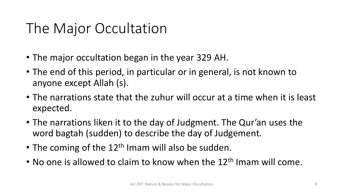#### The Major Occultation

- The major occultation began in the year 329 AH.
- The end of this period, in particular or in general, is not known to anyone except Allah (s).
- The narrations state that the zuhur will occur at a time when it is least expected.
- The narrations liken it to the day of Judgment. The Qur'an uses the word bagtah (sudden) to describe the day of Judgement.
- The coming of the  $12<sup>th</sup>$  Imam will also be sudden.
- No one is allowed to claim to know when the  $12<sup>th</sup>$  Imam will come.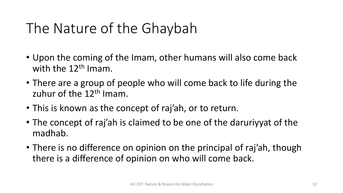## The Nature of the Ghaybah

- Upon the coming of the Imam, other humans will also come back with the  $12<sup>th</sup>$  Imam.
- There are a group of people who will come back to life during the zuhur of the  $12<sup>th</sup>$  Imam.
- This is known as the concept of raj'ah, or to return.
- The concept of raj'ah is claimed to be one of the daruriyyat of the madhab.
- There is no difference on opinion on the principal of raj'ah, though there is a difference of opinion on who will come back.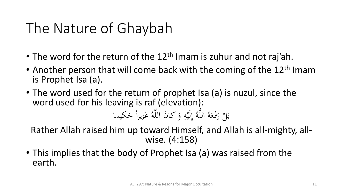#### The Nature of Ghaybah

- The word for the return of the  $12<sup>th</sup>$  Imam is zuhur and not raj'ah.
- Another person that will come back with the coming of the  $12<sup>th</sup>$  Imam is Prophet Isa (a).
- The word used for the return of prophet Isa (a) is nuzul, since the word used for his leaving is raf (elevation): ِ .<br>ِءِ إ ه َّ الل ب

عَزیزاً حَکیما  $\frac{1}{2}$ **ک** ہ<br>ا ه َّ َن الل كا و ه لَی ُ َ  $\ddot{\cdot}$ ام<br>ا ال رَفَعَهُ **گ**ر ر<br>( <u>ا</u> ب<br>. Rather Allah raised him up toward Himself, and Allah is all-mighty, allwise. (4:158)

• This implies that the body of Prophet Isa (a) was raised from the earth.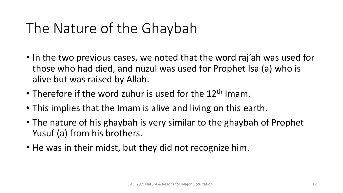## The Nature of the Ghaybah

- In the two previous cases, we noted that the word raj'ah was used for those who had died, and nuzul was used for Prophet Isa (a) who is alive but was raised by Allah.
- Therefore if the word zuhur is used for the 12<sup>th</sup> Imam.
- This implies that the Imam is alive and living on this earth.
- The nature of his ghaybah is very similar to the ghaybah of Prophet Yusuf (a) from his brothers.
- He was in their midst, but they did not recognize him.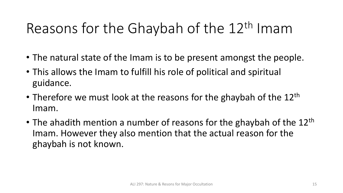# Reasons for the Ghaybah of the 12<sup>th</sup> Imam

- The natural state of the Imam is to be present amongst the people.
- This allows the Imam to fulfill his role of political and spiritual guidance.
- Therefore we must look at the reasons for the ghaybah of the  $12<sup>th</sup>$ Imam.
- The ahadith mention a number of reasons for the ghaybah of the  $12<sup>th</sup>$ Imam. However they also mention that the actual reason for the ghaybah is not known.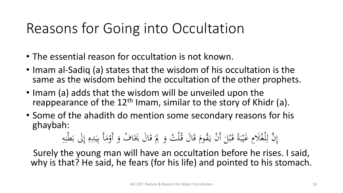#### Reasons for Going into Occultation

- The essential reason for occultation is not known.
- Imam al-Sadiq (a) states that the wisdom of his occultation is the same as the wisdom behind the occultation of the other prophets.
- Imam (a) adds that the wisdom will be unveiled upon the reappearance of the  $12<sup>th</sup>$  Imam, similar to the story of Khidr (a).
- Some of the ahadith do mention some secondary reasons for his ghaybah:

#### ِ ثٌ وَ لِمَ قَالَ يَخَافُ وَ أَوْمَأَ بِيَدِهِ إِلَى بَطْنِهِ  $\ddot{\cdot}$ ند <u>ا</u><br>. ب<br>.  $\int$ إ  $\bullet$  $\ddot{\cdot}$  $\frac{1}{2}$ ِ<br>ب  $\mathcal{A}$ ه<br>/ ہ<br>ر .<br>ئ ة<br>ق  $\int$ َ .<br>. نَّ لِلْغُلَامِ غَيْبَةً قَبْلَ أَنْ يَقُومَ قَالَ قُلْ ة<br>ق م يه<br>. ْ  $\overline{\phantom{0}}$ ه<br>به ة<br>م نة<br>م  $\ddot{\cdot}$ بر  $\ddot{\mathbf{r}}$  $\downarrow$ ِ  $\int$ إ

Surely the young man will have an occultation before he rises. I said, why is that? He said, he fears (for his life) and pointed to his stomach.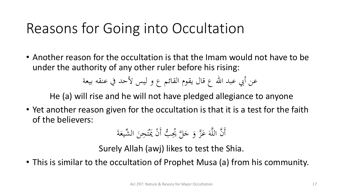#### Reasons for Going into Occultation

• Another reason for the occultation is that the Imam would not have to be under the authority of any other ruler before his rising:

عن أبي عبد الله ع قال یقوم القائم ع و لیس لأحد في عنقه بیعة

He (a) will rise and he will not have pledged allegiance to anyone

• Yet another reason given for the occultation is that it is a test for the faith of the believers:

َ ة َ شیع ال ِّ َ ِحن َ ت َْ ن َي ْ ب أَ ُّ ُيِ َ َّل ُ َ ج ز و َّ َ ع َ ه َّ ن الل أَ َّ

Surely Allah (awj) likes to test the Shia.

• This is similar to the occultation of Prophet Musa (a) from his community.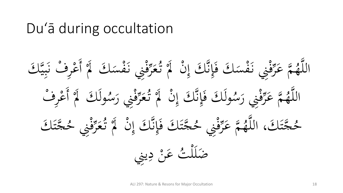#### Du'ā during occultation

قني نَفْسَكَ لَا أَعْرِفْ نَبِيَّكَ یک<br>بد  $\frac{1}{2}$ بد ن<br>:<br>.  $\overline{\phantom{a}}$ **کی**<br>ا  $\binom{1}{2}$  $\overline{a}$ **.<br>م** ز<br>|<br>| <u>ة</u> سِ<br>زرا رس<br>محر **گر** ڑ<br>ن قْني نَفْسَكَ فَإِنَّكَ إِنْ ۖ أَوْ يًّهُ ۖ وَ  $\binom{1}{2}$ ْ  $\int$ بر<br>ز  $\int$ ق<br>ف  $\overline{a}$  $\ddot{\mathbf{z}}$ ز<br>ا  $\frac{1}{2}$ بِر<br>ز تة عَرَّوْ<br>م عَرَّوْ  $\boldsymbol{\mathcal{S}}$ َّ ُ ه َّ الل ولَكَ لَمْ أَعْرِفْ  $\overline{\phantom{a}}$ **کی**<br>ا  $\binom{1}{2}$ ل<br>أ  $\overline{a}$ ه<br>فني رَسُّہ  $\int$  $\frac{1}{2}$ بِر<br>ز رس<br>محر **گ**ر<br>ا ن<br>ن ولَكَ فَإِتَّلُكَ إِنَّ لَمْ تَوْ  $\binom{1}{2}$ ْ  $\int$ بر<br>ز  $\int$ ة<br>م ل<br>أ  $\overline{a}$ ه<br>فني رَسُّہ  $\int$  $\frac{1}{2}$ بِر<br>ز ته عَرَّفُ **ک** َّ ُ ه َّ الل جَّتَنَاكَ<br>ج ्<br>।<br> ةِ<br>فَنِي حُـ <u>ة</u><br>-بر<br>ر رس<br>محر **گر**<br>ا ڑ<br>ن جَّتَكَ فَإِنَّكَ إِنَّ لَمْ تَهْ<br>جَتَكَ فَإِنَّكَ إِنَّ لَمْ تَهْ  $\binom{1}{2}$ ْ  $\int$ بر<br>د  $\int$ ة<br>م ्<br>।<br> ةِ<br>فُنِي حُـ  $\frac{1}{2}$ سِر<br>ز تة عَرَّوْ<br>م عَرَّوْ  $\boldsymbol{\mathcal{S}}$ َّ ُ حَّتَكَ، اللَّهُ**جُ** ्<br>।<br>  $\frac{1}{\alpha}$ شُّ عَنْ دِينِي ی<br>ب  $\frac{1}{2}$ ا<br>با<br>با **ک** اب<br>ا ضَلَلْأ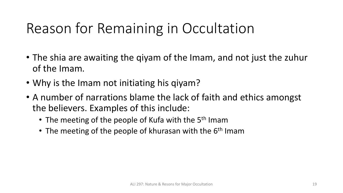# Reason for Remaining in Occultation

- The shia are awaiting the qiyam of the Imam, and not just the zuhur of the Imam.
- Why is the Imam not initiating his qiyam?
- A number of narrations blame the lack of faith and ethics amongst the believers. Examples of this include:
	- The meeting of the people of Kufa with the 5<sup>th</sup> Imam
	- The meeting of the people of khurasan with the 6<sup>th</sup> Imam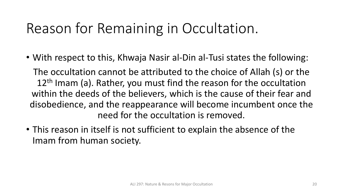#### Reason for Remaining in Occultation.

• With respect to this, Khwaja Nasir al-Din al-Tusi states the following:

The occultation cannot be attributed to the choice of Allah (s) or the 12<sup>th</sup> Imam (a). Rather, you must find the reason for the occultation within the deeds of the believers, which is the cause of their fear and disobedience, and the reappearance will become incumbent once the need for the occultation is removed.

• This reason in itself is not sufficient to explain the absence of the Imam from human society.